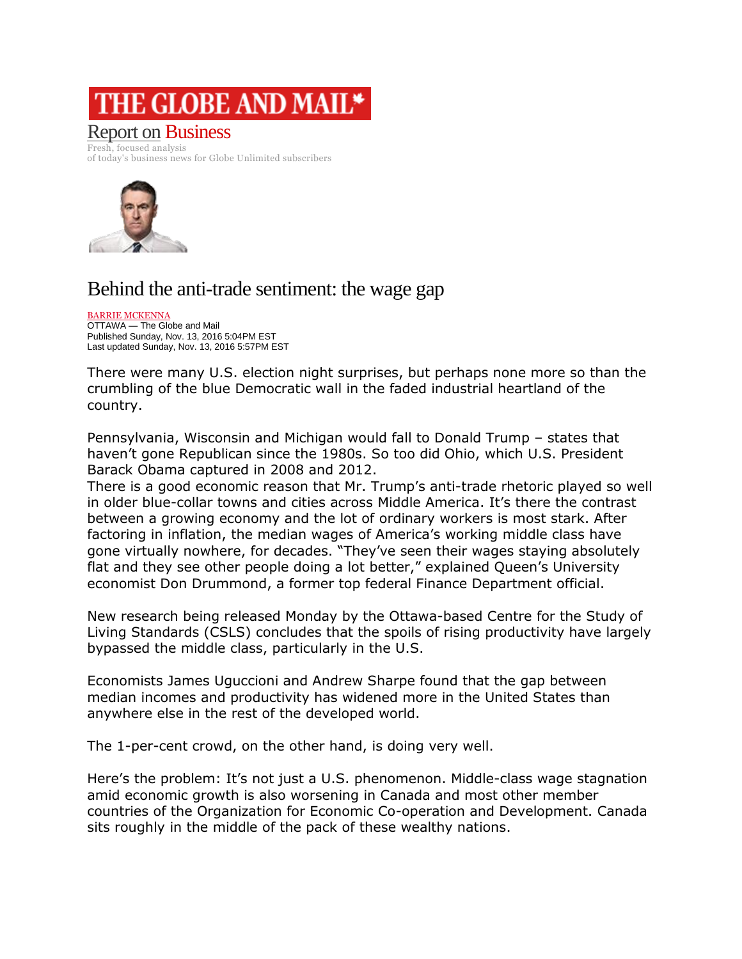## THE GLOBE AND MAIL\*

## [Report on](http://www.theglobeandmail.com/report-on-business/) Business

Fresh, focused analysis of today's business news for Globe Unlimited subscribers



## Behind the anti-trade sentiment: the wage gap

[BARRIE MCKENNA](http://www.theglobeandmail.com/authors/barrie-mckenna) OTTAWA — The Globe and Mail Published Sunday, Nov. 13, 2016 5:04PM EST Last updated Sunday, Nov. 13, 2016 5:57PM EST

There were many U.S. election night surprises, but perhaps none more so than the crumbling of the blue Democratic wall in the faded industrial heartland of the country.

Pennsylvania, Wisconsin and Michigan would fall to Donald Trump – states that haven't gone Republican since the 1980s. So too did Ohio, which U.S. President Barack Obama captured in 2008 and 2012.

There is a good economic reason that Mr. Trump's anti-trade rhetoric played so well in older blue-collar towns and cities across Middle America. It's there the contrast between a growing economy and the lot of ordinary workers is most stark. After factoring in inflation, the median wages of America's working middle class have gone virtually nowhere, for decades. "They've seen their wages staying absolutely flat and they see other people doing a lot better," explained Queen's University economist Don Drummond, a former top federal Finance Department official.

New research being released Monday by the Ottawa-based Centre for the Study of Living Standards (CSLS) concludes that the spoils of rising productivity have largely bypassed the middle class, particularly in the U.S.

Economists James Uguccioni and Andrew Sharpe found that the gap between median incomes and productivity has widened more in the United States than anywhere else in the rest of the developed world.

The 1-per-cent crowd, on the other hand, is doing very well.

Here's the problem: It's not just a U.S. phenomenon. Middle-class wage stagnation amid economic growth is also worsening in Canada and most other member countries of the Organization for Economic Co-operation and Development. Canada sits roughly in the middle of the pack of these wealthy nations.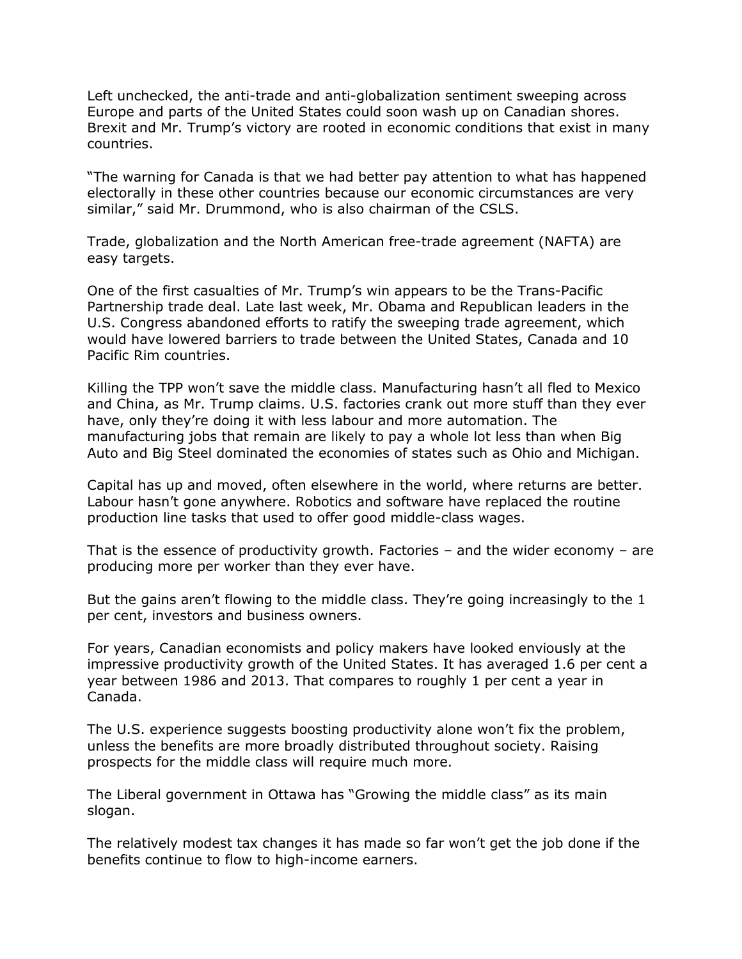Left unchecked, the anti-trade and anti-globalization sentiment sweeping across Europe and parts of the United States could soon wash up on Canadian shores. Brexit and Mr. Trump's victory are rooted in economic conditions that exist in many countries.

"The warning for Canada is that we had better pay attention to what has happened electorally in these other countries because our economic circumstances are very similar," said Mr. Drummond, who is also chairman of the CSLS.

Trade, globalization and the North American free-trade agreement (NAFTA) are easy targets.

One of the first casualties of Mr. Trump's win appears to be the Trans-Pacific Partnership trade deal. Late last week, Mr. Obama and Republican leaders in the U.S. Congress abandoned efforts to ratify the sweeping trade agreement, which would have lowered barriers to trade between the United States, Canada and 10 Pacific Rim countries.

Killing the TPP won't save the middle class. Manufacturing hasn't all fled to Mexico and China, as Mr. Trump claims. U.S. factories crank out more stuff than they ever have, only they're doing it with less labour and more automation. The manufacturing jobs that remain are likely to pay a whole lot less than when Big Auto and Big Steel dominated the economies of states such as Ohio and Michigan.

Capital has up and moved, often elsewhere in the world, where returns are better. Labour hasn't gone anywhere. Robotics and software have replaced the routine production line tasks that used to offer good middle-class wages.

That is the essence of productivity growth. Factories – and the wider economy – are producing more per worker than they ever have.

But the gains aren't flowing to the middle class. They're going increasingly to the 1 per cent, investors and business owners.

For years, Canadian economists and policy makers have looked enviously at the impressive productivity growth of the United States. It has averaged 1.6 per cent a year between 1986 and 2013. That compares to roughly 1 per cent a year in Canada.

The U.S. experience suggests boosting productivity alone won't fix the problem, unless the benefits are more broadly distributed throughout society. Raising prospects for the middle class will require much more.

The Liberal government in Ottawa has "Growing the middle class" as its main slogan.

The relatively modest tax changes it has made so far won't get the job done if the benefits continue to flow to high-income earners.